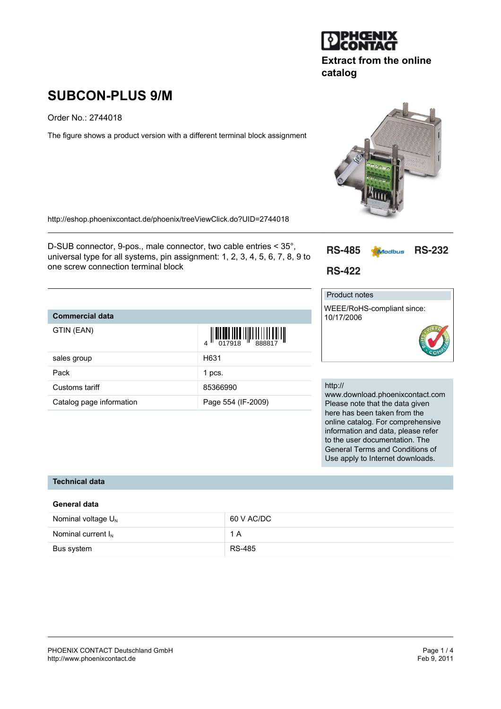

# **Extract from the online catalog**

# **SUBCON-PLUS 9/M**

Order No.: 2744018

The figure shows a product version with a different terminal block assignment

<http://eshop.phoenixcontact.de/phoenix/treeViewClick.do?UID=2744018>

D-SUB connector, 9-pos., male connector, two cable entries < 35°, universal type for all systems, pin assignment: 1, 2, 3, 4, 5, 6, 7, 8, 9 to one screw connection terminal block



**RS-422** 

# Product notes

WEEE/RoHS-compliant since: 10/17/2006



| <b>Commercial data</b>   |                                                                                                                                                                                                                                                                                                                                                                         |
|--------------------------|-------------------------------------------------------------------------------------------------------------------------------------------------------------------------------------------------------------------------------------------------------------------------------------------------------------------------------------------------------------------------|
| GTIN (EAN)               | $\left\  \prod_{017918} \prod_{888817} \prod_{7918} \prod_{888817} \prod_{1100} \prod_{1110} \prod_{1110} \prod_{1110} \prod_{1110} \prod_{1110} \prod_{1110} \prod_{1110} \prod_{1110} \prod_{1110} \prod_{1110} \prod_{1110} \prod_{1110} \prod_{1110} \prod_{1110} \prod_{1110} \prod_{1110} \prod_{1110} \prod_{1110} \prod_{1110} \prod_{1110} \prod_{1110} \prod$ |
| sales group              | H631                                                                                                                                                                                                                                                                                                                                                                    |
| Pack                     | 1 pcs.                                                                                                                                                                                                                                                                                                                                                                  |
| Customs tariff           | 85366990                                                                                                                                                                                                                                                                                                                                                                |
| Catalog page information | Page 554 (IF-2009)                                                                                                                                                                                                                                                                                                                                                      |

#### http://

www.download.phoenixcontact.com Please note that the data given here has been taken from the online catalog. For comprehensive information and data, please refer to the user documentation. The General Terms and Conditions of Use apply to Internet downloads.

#### **Technical data**

| General data            |               |  |
|-------------------------|---------------|--|
| Nominal voltage $U_{N}$ | 60 V AC/DC    |  |
| Nominal current $I_{N}$ | 1 A           |  |
| Bus system              | <b>RS-485</b> |  |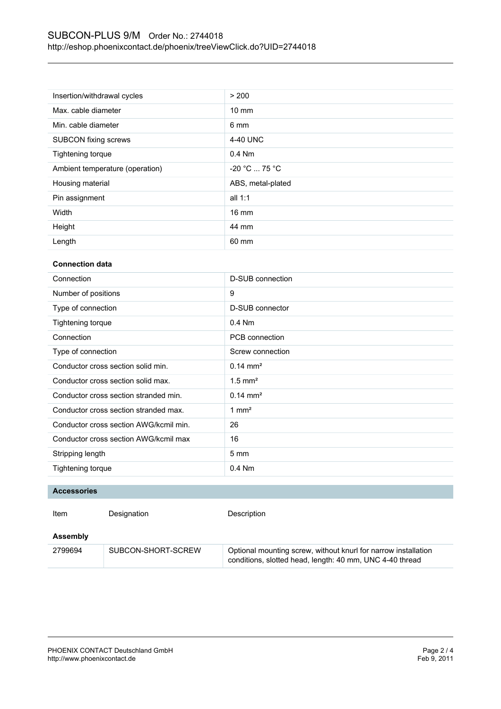| Insertion/withdrawal cycles     | > 200             |
|---------------------------------|-------------------|
| Max. cable diameter             | $10 \text{ mm}$   |
| Min. cable diameter             | 6 mm              |
| <b>SUBCON fixing screws</b>     | 4-40 UNC          |
| Tightening torque               | $0.4$ Nm          |
| Ambient temperature (operation) | $-20 °C  75 °C$   |
| Housing material                | ABS, metal-plated |
| Pin assignment                  | all $1:1$         |
| Width                           | $16 \text{ mm}$   |
| Height                          | 44 mm             |
| Length                          | 60 mm             |

### **Connection data**

| Connection                             | D-SUB connection      |
|----------------------------------------|-----------------------|
| Number of positions                    | 9                     |
| Type of connection                     | D-SUB connector       |
| <b>Tightening torque</b>               | $0.4$ Nm              |
| Connection                             | PCB connection        |
| Type of connection                     | Screw connection      |
| Conductor cross section solid min.     | $0.14 \text{ mm}^2$   |
| Conductor cross section solid max.     | $1.5$ mm <sup>2</sup> |
| Conductor cross section stranded min.  | $0.14 \text{ mm}^2$   |
| Conductor cross section stranded max.  | $1 \text{ mm}^2$      |
| Conductor cross section AWG/kcmil min. | 26                    |
| Conductor cross section AWG/kcmil max  | 16                    |
| Stripping length                       | $5 \text{ mm}$        |
| Tightening torque                      | $0.4$ Nm              |
|                                        |                       |

#### **Accessories**

| Item     | Designation        | Description                                                                                                                |
|----------|--------------------|----------------------------------------------------------------------------------------------------------------------------|
| Assembly |                    |                                                                                                                            |
| 2799694  | SUBCON-SHORT-SCREW | Optional mounting screw, without knurl for narrow installation<br>conditions, slotted head, length: 40 mm, UNC 4-40 thread |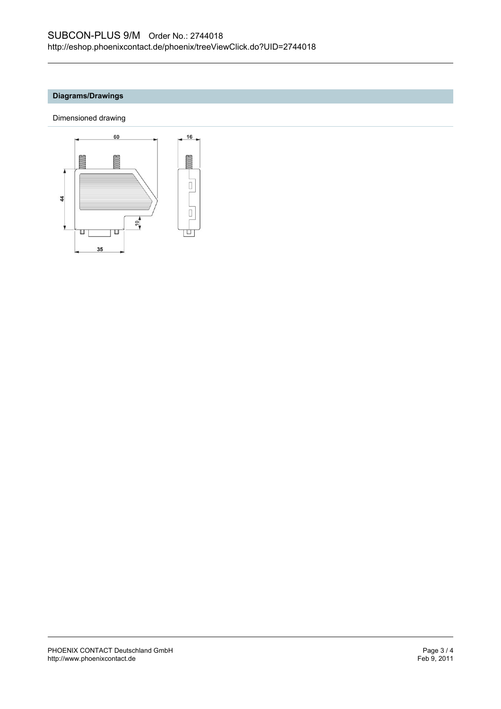## **Diagrams/Drawings**

Dimensioned drawing